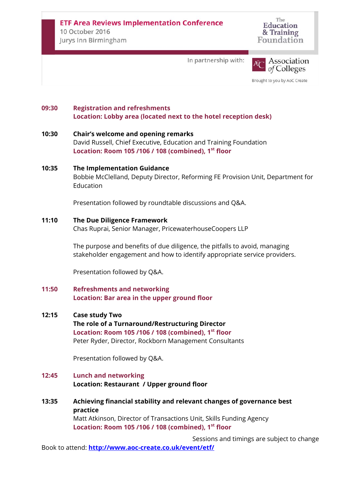The Education & Training Foundation

In partnership with:



Brought to you by AoC Create

# **09:30 Registration and refreshments Location: Lobby area (located next to the hotel reception desk)**

### **10:30 Chair's welcome and opening remarks** David Russell, Chief Executive, Education and Training Foundation **Location: Room 105 /106 / 108 (combined), 1st floor**

# **10:35 The Implementation Guidance** Bobbie McClelland, Deputy Director, Reforming FE Provision Unit, Department for Education

Presentation followed by roundtable discussions and Q&A.

## **11:10 The Due Diligence Framework**

Chas Ruprai, Senior Manager, PricewaterhouseCoopers LLP

The purpose and benefits of due diligence, the pitfalls to avoid, managing stakeholder engagement and how to identify appropriate service providers.

Presentation followed by Q&A.

## **11:50 Refreshments and networking Location: Bar area in the upper ground floor**

### **12:15 Case study Two**

**The role of a Turnaround/Restructuring Director Location: Room 105 /106 / 108 (combined), 1st floor** Peter Ryder, Director, Rockborn Management Consultants

Presentation followed by Q&A.

# **12:45 Lunch and networking Location: Restaurant / Upper ground floor**

**13:35 Achieving financial stability and relevant changes of governance best practice** Matt Atkinson, Director of Transactions Unit, Skills Funding Agency **Location: Room 105 /106 / 108 (combined), 1st floor**

Sessions and timings are subject to change Book to attend: **<http://www.aoc-create.co.uk/event/etf/>**